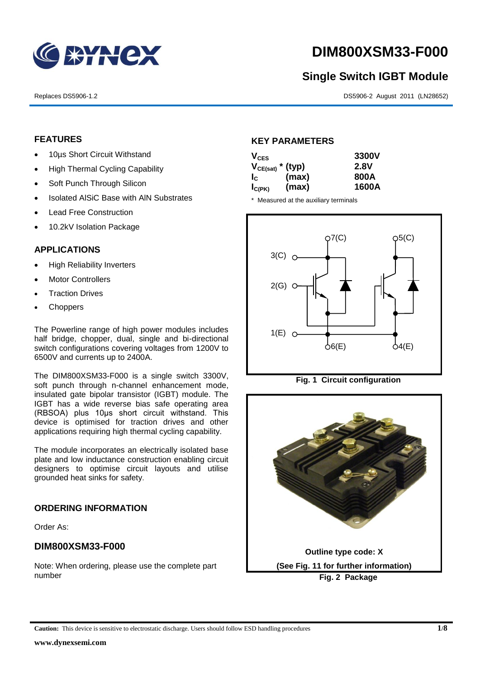

# **DIM800XSM33-F000**

# **Single Switch IGBT Module**

Replaces DS5906-1.2 DS5906-2 August 2011 (LN28652)

#### **FEATURES**

- 10µs Short Circuit Withstand
- High Thermal Cycling Capability
- Soft Punch Through Silicon
- Isolated AISiC Base with AIN Substrates
- Lead Free Construction
- 10.2kV Isolation Package

## **APPLICATIONS**

- High Reliability Inverters
- Motor Controllers
- Traction Drives
- **Choppers**

The Powerline range of high power modules includes half bridge, chopper, dual, single and bi-directional switch configurations covering voltages from 1200V to 6500V and currents up to 2400A.

The DIM800XSM33-F000 is a single switch 3300V, soft punch through n-channel enhancement mode, insulated gate bipolar transistor (IGBT) module. The IGBT has a wide reverse bias safe operating area (RBSOA) plus 10μs short circuit withstand. This device is optimised for traction drives and other applications requiring high thermal cycling capability.

The module incorporates an electrically isolated base plate and low inductance construction enabling circuit designers to optimise circuit layouts and utilise grounded heat sinks for safety.

#### **ORDERING INFORMATION**

Order As:

## **DIM800XSM33-F000**

Note: When ordering, please use the complete part number

#### **KEY PARAMETERS**

| $V_{CES}$             |       | 3300V       |
|-----------------------|-------|-------------|
| $V_{CE(sat)}$ * (typ) |       | <b>2.8V</b> |
| $I_{\rm C}$           | (max) | 800A        |
| $I_{C(PK)}$           | (max) | 1600A       |

\* Measured at the auxiliary terminals







**Caution:** This device is sensitive to electrostatic discharge. Users should follow ESD handling procedures **1/8**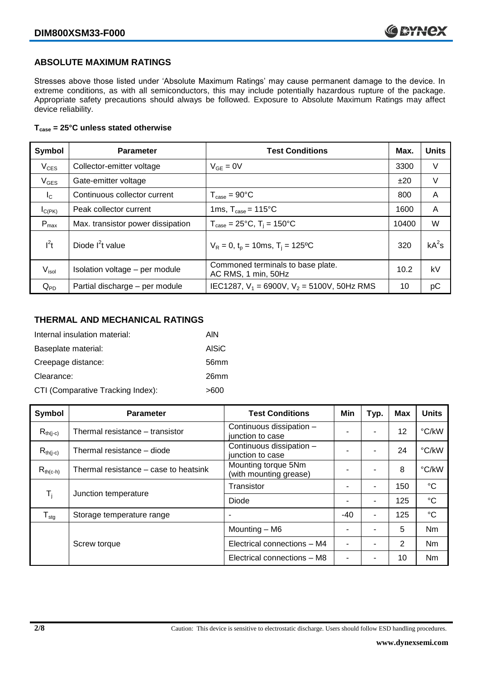## **ABSOLUTE MAXIMUM RATINGS**

Stresses above those listed under 'Absolute Maximum Ratings' may cause permanent damage to the device. In extreme conditions, as with all semiconductors, this may include potentially hazardous rupture of the package. Appropriate safety precautions should always be followed. Exposure to Absolute Maximum Ratings may affect device reliability.

#### **Tcase = 25°C unless stated otherwise**

| Symbol            | <b>Test Conditions</b><br><b>Parameter</b> |                                                          | Max.  | <b>Units</b> |
|-------------------|--------------------------------------------|----------------------------------------------------------|-------|--------------|
| $V_{CES}$         | Collector-emitter voltage                  | $V_{GE} = 0V$                                            | 3300  | V            |
| $V_{GES}$         | Gate-emitter voltage                       |                                                          | ±20   | V            |
| $I_{\rm C}$       | Continuous collector current               | $T_{\text{case}} = 90^{\circ}C$                          | 800   | A            |
| $I_{C(PK)}$       | Peak collector current                     | 1ms, $T_{\text{case}} = 115^{\circ}$ C                   | 1600  | A            |
| $P_{\text{max}}$  | Max. transistor power dissipation          | $T_{\text{case}} = 25^{\circ}C$ , $T_i = 150^{\circ}C$   | 10400 | W            |
| $I^2t$            | Diode $I^2t$ value                         | $V_R = 0$ , $t_p = 10$ ms, $T_i = 125$ °C                | 320   | $kA^2s$      |
| $V_{\text{isol}}$ | Isolation voltage - per module             | Commoned terminals to base plate.<br>AC RMS, 1 min, 50Hz | 10.2  | kV           |
| $Q_{PD}$          | Partial discharge - per module             | IEC1287, $V_1$ = 6900V, $V_2$ = 5100V, 50Hz RMS          | 10    | рC           |

#### **THERMAL AND MECHANICAL RATINGS**

| Internal insulation material:     | AIN              |
|-----------------------------------|------------------|
| Baseplate material:               | <b>AISiC</b>     |
| Creepage distance:                | 56 <sub>mm</sub> |
| Clearance:                        | 26 <sub>mm</sub> |
| CTI (Comparative Tracking Index): | >600             |

| Symbol                    | <b>Parameter</b>                      | <b>Test Conditions</b>                        | Min | Typ. | <b>Max</b> | <b>Units</b>    |
|---------------------------|---------------------------------------|-----------------------------------------------|-----|------|------------|-----------------|
| $R_{th(i-c)}$             | Thermal resistance - transistor       | Continuous dissipation -<br>junction to case  |     | ۰    | 12         | °C/kW           |
| $R_{th(i-c)}$             | Thermal resistance – diode            | Continuous dissipation -<br>junction to case  |     | ۰    | 24         | °C/kW           |
| $R_{th(c-h)}$             | Thermal resistance – case to heatsink | Mounting torque 5Nm<br>(with mounting grease) |     |      | 8          | °C/kW           |
| $\mathsf{T}_{\mathsf{i}}$ |                                       | Transistor                                    |     | ۰    | 150        | $^{\circ}C$     |
|                           | Junction temperature                  | Diode                                         |     | ۰    | 125        | $\rm ^{\circ}C$ |
| $T_{\text{stg}}$          | Storage temperature range             |                                               | -40 | ۰    | 125        | $^{\circ}C$     |
|                           |                                       | Mounting - M6                                 |     | ۰    | 5          | Nm              |
|                           | Screw torque                          | Electrical connections - M4                   |     |      | 2          | <b>Nm</b>       |
|                           |                                       | Electrical connections - M8                   |     |      | 10         | Nm              |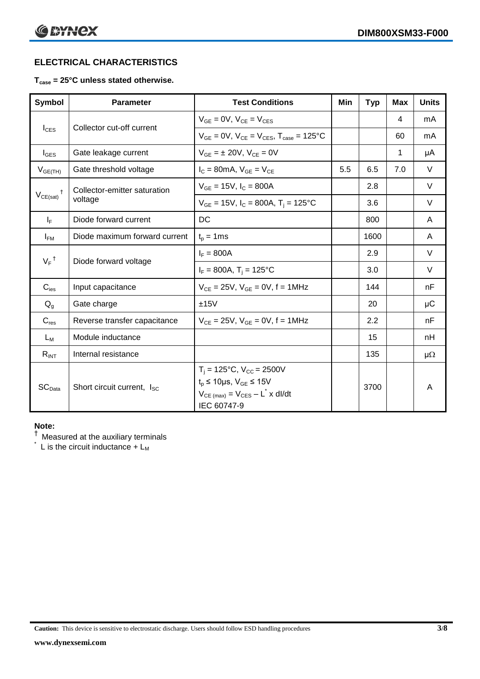# **ELECTRICAL CHARACTERISTICS**

## **Tcase = 25°C unless stated otherwise.**

| <b>Symbol</b>      | <b>Parameter</b>                       | <b>Test Conditions</b>                                                                                                                                          | Min | <b>Typ</b> | <b>Max</b> | <b>Units</b> |
|--------------------|----------------------------------------|-----------------------------------------------------------------------------------------------------------------------------------------------------------------|-----|------------|------------|--------------|
| $I_{CES}$          | Collector cut-off current              | $V_{GF} = 0V$ , $V_{CF} = V_{CES}$                                                                                                                              |     |            | 4          | mA           |
|                    |                                        | $V_{GF} = 0V$ , $V_{CF} = V_{CES}$ , $T_{case} = 125^{\circ}C$                                                                                                  |     |            | 60         | mA           |
| $I_{\text{GES}}$   | Gate leakage current                   | $V_{GF} = \pm 20V$ , $V_{CF} = 0V$                                                                                                                              |     |            | 1          | μA           |
| $V_{GE(TH)}$       | Gate threshold voltage                 | $I_C = 80mA$ , $V_{GE} = V_{CE}$                                                                                                                                | 5.5 | 6.5        | 7.0        | $\vee$       |
|                    | Collector-emitter saturation           | $V_{GE}$ = 15V, $I_C$ = 800A                                                                                                                                    |     | 2.8        |            | V            |
| $V_{CE(sat)}$      | voltage                                | $V_{GE}$ = 15V, $I_C$ = 800A, $T_i$ = 125°C                                                                                                                     |     | 3.6        |            | V            |
| $I_F$              | Diode forward current                  | DC                                                                                                                                                              |     | 800        |            | A            |
| $I_{FM}$           | Diode maximum forward current          | $t_p = 1$ ms                                                                                                                                                    |     | 1600       |            | A            |
| $V_F$ <sup>†</sup> | Diode forward voltage                  | $I_F = 800A$                                                                                                                                                    |     | 2.9        |            | $\vee$       |
|                    |                                        | $I_F = 800A$ , T <sub>i</sub> = 125°C                                                                                                                           |     | 3.0        |            | V            |
| $C_{\text{ies}}$   | Input capacitance                      | $V_{CE} = 25V$ , $V_{GE} = 0V$ , f = 1MHz                                                                                                                       |     | 144        |            | nF           |
| $Q_g$              | Gate charge                            | ±15V                                                                                                                                                            |     | 20         |            | $\mu$ C      |
| $C_{res}$          | Reverse transfer capacitance           | $V_{CE} = 25V$ , $V_{GE} = 0V$ , f = 1MHz                                                                                                                       |     | 2.2        |            | nF           |
| $L_M$              | Module inductance                      |                                                                                                                                                                 |     | 15         |            | nH           |
| $R_{INT}$          | Internal resistance                    |                                                                                                                                                                 |     | 135        |            | $\mu\Omega$  |
| SC <sub>Data</sub> | Short circuit current, I <sub>SC</sub> | $T_i = 125$ °C, V <sub>CC</sub> = 2500V<br>$t_p \le 10 \mu s$ , $V_{GE} \le 15 V$<br>$V_{CE \text{ (max)}} = V_{CES} - L^{\dagger} \times dl/dt$<br>IEC 60747-9 |     | 3700       |            | A            |

### **Note:**

 $^\dagger$  Measured at the auxiliary terminals

 $\check{}$  L is the circuit inductance + L<sub>M</sub>

**Caution:** This device is sensitive to electrostatic discharge. Users should follow ESD handling procedures **3/8**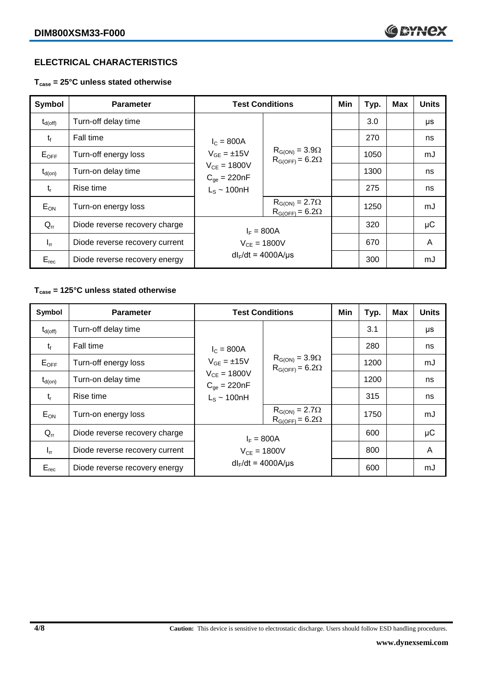## **ELECTRICAL CHARACTERISTICS**

**Tcase = 25°C unless stated otherwise**

| Symbol             | <b>Parameter</b>               | <b>Test Conditions</b>                                                                         |                                                     | Min | Typ. | <b>Max</b> | <b>Units</b> |    |
|--------------------|--------------------------------|------------------------------------------------------------------------------------------------|-----------------------------------------------------|-----|------|------------|--------------|----|
| $\rm t_{d(off)}$   | Turn-off delay time            | $I_c = 800A$<br>$V_{GE} = \pm 15V$<br>$V_{CE} = 1800V$<br>$C_{qe} = 220nF$<br>$L_S \sim 100nH$ | $R_{G(ON)} = 3.9\Omega$<br>$R_{G(OFF)} = 6.2\Omega$ |     | 3.0  |            | μs           |    |
| $t_{\rm f}$        | Fall time                      |                                                                                                |                                                     |     | 270  |            | ns           |    |
| $E_{\mathsf{OFF}}$ | Turn-off energy loss           |                                                                                                |                                                     |     | 1050 |            | mJ           |    |
| $t_{d(on)}$        | Turn-on delay time             |                                                                                                |                                                     |     | 1300 |            | ns           |    |
| $t_{r}$            | Rise time                      |                                                                                                |                                                     |     |      | 275        |              | ns |
| $E_{ON}$           | Turn-on energy loss            |                                                                                                | $R_{G(ON)} = 2.7\Omega$<br>$R_{G(OFF)} = 6.2\Omega$ |     | 1250 |            | mJ           |    |
| $Q_{rr}$           | Diode reverse recovery charge  | $I_F = 800A$<br>$V_{CE} = 1800V$<br>$dl_F/dt = 4000 A/\mu s$                                   |                                                     |     | 320  |            | μC           |    |
| $I_{rr}$           | Diode reverse recovery current |                                                                                                |                                                     |     | 670  |            | A            |    |
| $E_{rec}$          | Diode reverse recovery energy  |                                                                                                |                                                     |     | 300  |            | mJ           |    |

# **Tcase = 125°C unless stated otherwise**

| Symbol              | <b>Parameter</b>               |                                                                                                 | <b>Test Conditions</b>                              |  | Typ. | <b>Max</b> | <b>Units</b> |
|---------------------|--------------------------------|-------------------------------------------------------------------------------------------------|-----------------------------------------------------|--|------|------------|--------------|
| $t_{d(\text{off})}$ | Turn-off delay time            | $I_c = 800A$<br>$V_{GE} = \pm 15V$<br>$V_{CE} = 1800V$<br>$C_{qe} = 220nF$<br>$L_s \sim 100$ nH | $R_{G(ON)} = 3.9\Omega$<br>$R_{G(OFF)} = 6.2\Omega$ |  | 3.1  |            | μs           |
| $t_{\rm f}$         | Fall time                      |                                                                                                 |                                                     |  | 280  |            | ns           |
| $E_{OFF}$           | Turn-off energy loss           |                                                                                                 |                                                     |  | 1200 |            | mJ           |
| $t_{d(on)}$         | Turn-on delay time             |                                                                                                 |                                                     |  | 1200 |            | ns           |
| $t_{r}$             | Rise time                      |                                                                                                 |                                                     |  | 315  |            | ns           |
| $E_{ON}$            | Turn-on energy loss            |                                                                                                 | $R_{G(ON)} = 2.7\Omega$<br>$R_{G(OFF)} = 6.2\Omega$ |  | 1750 |            | mJ           |
| $Q_{rr}$            | Diode reverse recovery charge  | $I_F = 800A$                                                                                    |                                                     |  | 600  |            | $\mu$ C      |
| $I_{rr}$            | Diode reverse recovery current | $V_{CF} = 1800V$                                                                                |                                                     |  | 800  |            | A            |
| $E_{rec}$           | Diode reverse recovery energy  | $dl_F/dt = 4000A/\mu s$                                                                         |                                                     |  | 600  |            | mJ           |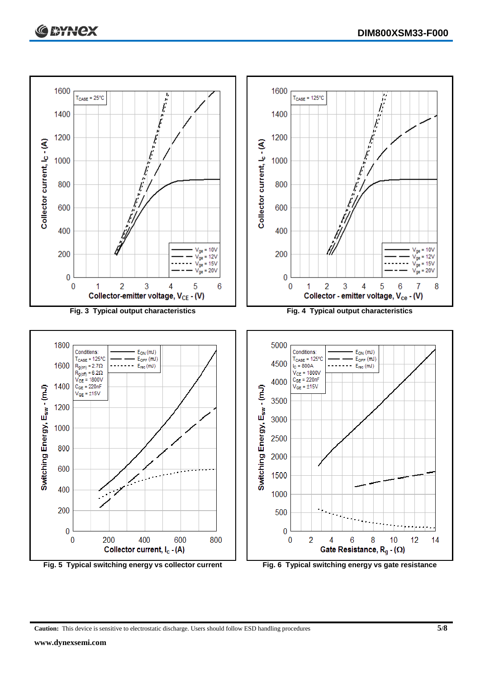

**Caution:** This device is sensitive to electrostatic discharge. Users should follow ESD handling procedures **5/8**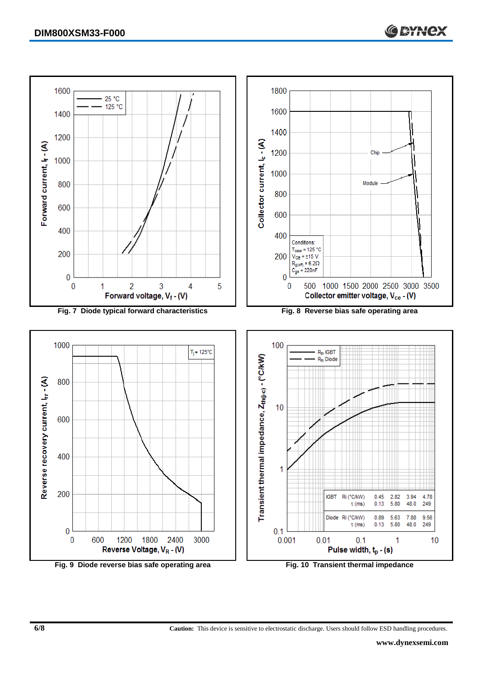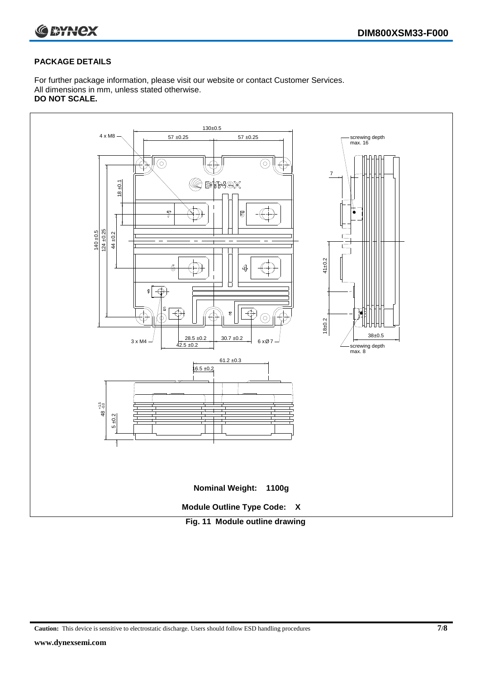

#### **PACKAGE DETAILS**

For further package information, please visit our website or contact Customer Services. All dimensions in mm, unless stated otherwise. **DO NOT SCALE.**



**Caution:** This device is sensitive to electrostatic discharge. Users should follow ESD handling procedures **7/8**